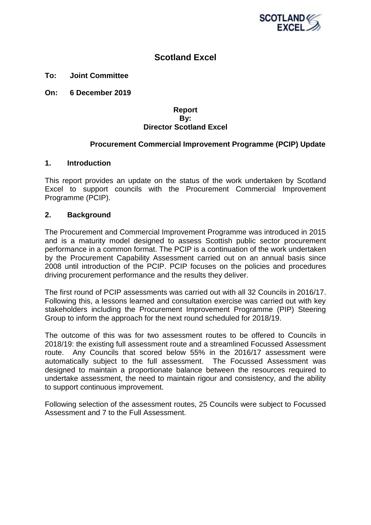

# **Scotland Excel**

**To: Joint Committee**

**On: 6 December 2019**

#### **Report By: Director Scotland Excel**

## **Procurement Commercial Improvement Programme (PCIP) Update**

#### **1. Introduction**

This report provides an update on the status of the work undertaken by Scotland Excel to support councils with the Procurement Commercial Improvement Programme (PCIP).

#### **2. Background**

The Procurement and Commercial Improvement Programme was introduced in 2015 and is a maturity model designed to assess Scottish public sector procurement performance in a common format. The PCIP is a continuation of the work undertaken by the Procurement Capability Assessment carried out on an annual basis since 2008 until introduction of the PCIP. PCIP focuses on the policies and procedures driving procurement performance and the results they deliver.

The first round of PCIP assessments was carried out with all 32 Councils in 2016/17. Following this, a lessons learned and consultation exercise was carried out with key stakeholders including the Procurement Improvement Programme (PIP) Steering Group to inform the approach for the next round scheduled for 2018/19.

The outcome of this was for two assessment routes to be offered to Councils in 2018/19: the existing full assessment route and a streamlined Focussed Assessment route. Any Councils that scored below 55% in the 2016/17 assessment were automatically subject to the full assessment. The Focussed Assessment was designed to maintain a proportionate balance between the resources required to undertake assessment, the need to maintain rigour and consistency, and the ability to support continuous improvement.

Following selection of the assessment routes, 25 Councils were subject to Focussed Assessment and 7 to the Full Assessment.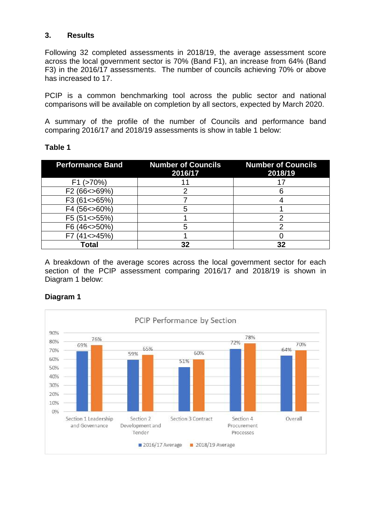## **3. Results**

Following 32 completed assessments in 2018/19, the average assessment score across the local government sector is 70% (Band F1), an increase from 64% (Band F3) in the 2016/17 assessments. The number of councils achieving 70% or above has increased to 17.

PCIP is a common benchmarking tool across the public sector and national comparisons will be available on completion by all sectors, expected by March 2020.

A summary of the profile of the number of Councils and performance band comparing 2016/17 and 2018/19 assessments is show in table 1 below:

| <b>Performance Band</b> | <b>Number of Councils</b><br>2016/17 | <b>Number of Councils</b><br>2018/19 |
|-------------------------|--------------------------------------|--------------------------------------|
| $F1$ ( $>70\%$ )        |                                      |                                      |
| F2 (66 < > 69%)         |                                      |                                      |
| F3 (61<>65%)            |                                      |                                      |
| F4 (56 < > 60%)         |                                      |                                      |
| F5 (51 < > 55%)         |                                      |                                      |
| F6 (46 < > 50%)         |                                      |                                      |
| F7 (41 < > 45%)         |                                      |                                      |
| Гоtal                   |                                      | 32                                   |

## **Table 1**

A breakdown of the average scores across the local government sector for each section of the PCIP assessment comparing 2016/17 and 2018/19 is shown in Diagram 1 below:



## **Diagram 1**